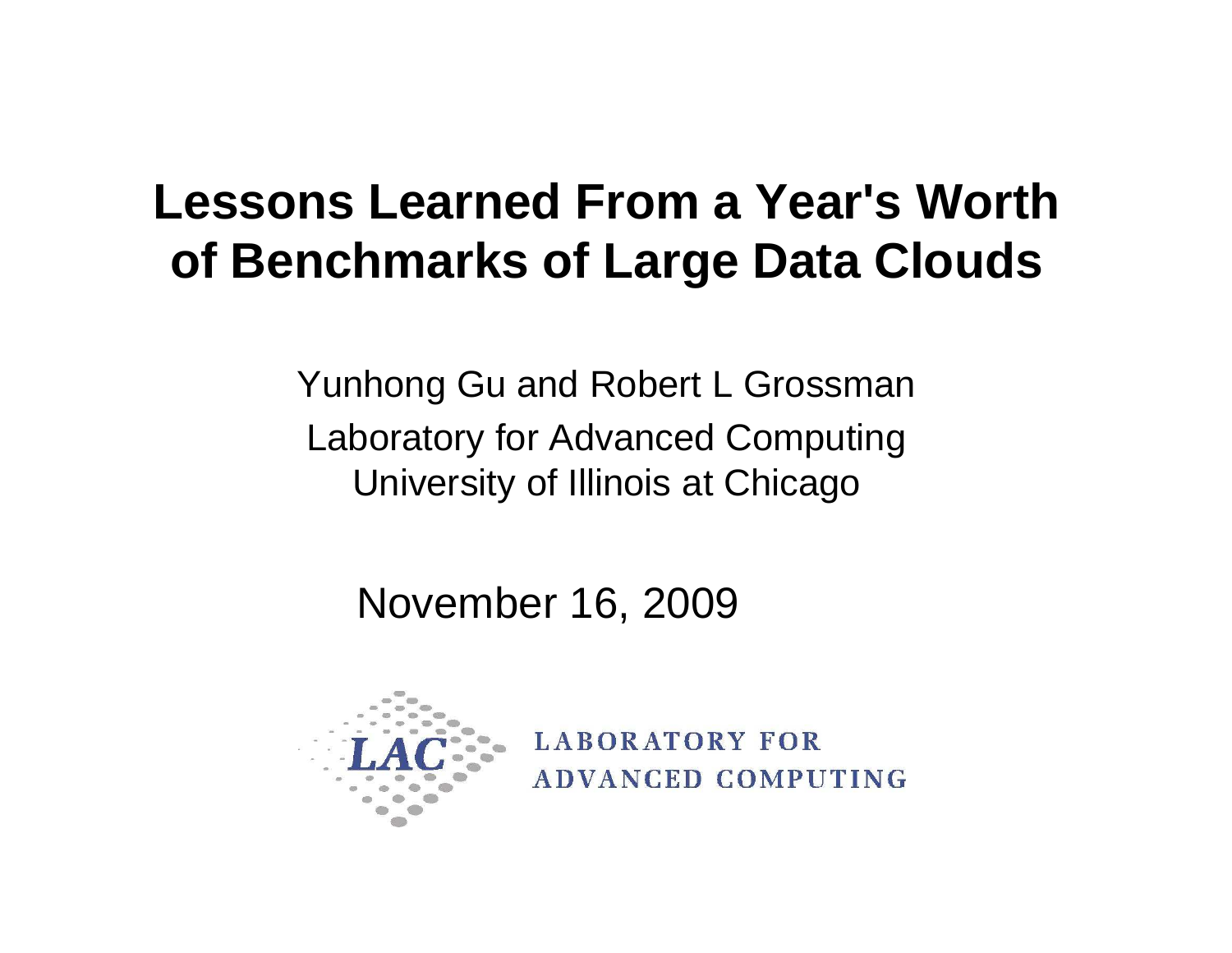#### **Lessons Learned From a Year's Worth of Benchmarks of Large Data Clouds**

Yunhong Gu and Robert L GrossmanLaboratory for Advanced Computing University of Illinois at Chicago

November 16, 2009



**LABORATORY FOR ADVANCED COMPUTING**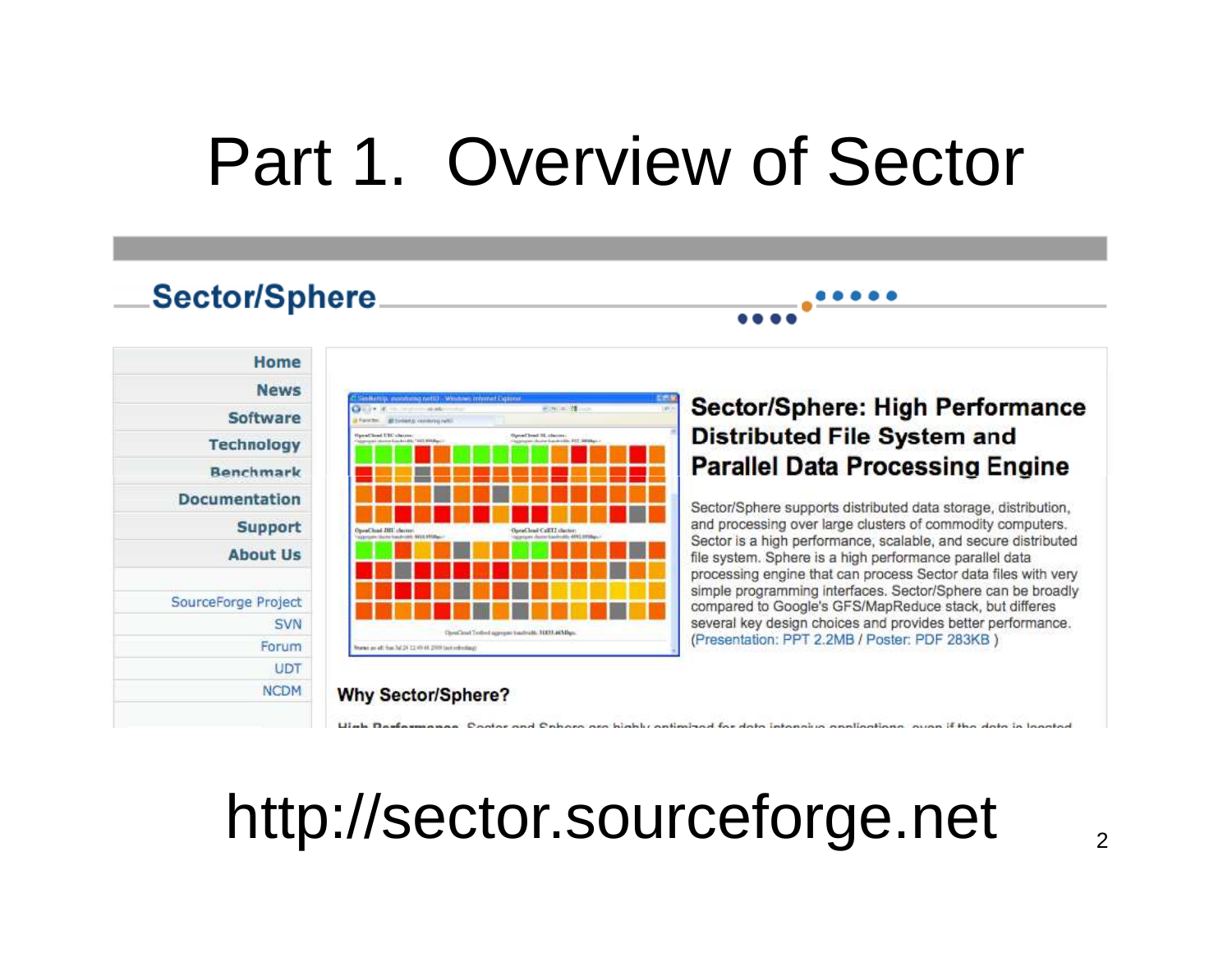#### Part 1. Overview of Sector

#### **Sector/Sphere**

| Home                |
|---------------------|
| <b>News</b>         |
| <b>Software</b>     |
| <b>Technology</b>   |
| <b>Benchmark</b>    |
| Documentation       |
| <b>Support</b>      |
| <b>About Us</b>     |
| SourceForge Project |
| SVN                 |
| Forum               |
| <b>UDT</b>          |
|                     |



#### **Nhy Sector/Sphere?**

#### **Sector/Sphere: High Performance Distributed File System and Parallel Data Processing Engine**

Sector/Sphere supports distributed data storage, distribution, and processing over large clusters of commodity computers. Sector is a high performance, scalable, and secure distributed file system. Sphere is a high performance parallel data processing engine that can process Sector data files with very simple programming interfaces. Sector/Sphere can be broadly compared to Google's GFS/MapReduce stack, but differes several key design choices and provides better performance. (Presentation: PPT 2.2MB / Poster: PDF 283KB)

#### http://sector.sourceforge.net

and Onboro are highly ordinated for data intonsius anglications.

2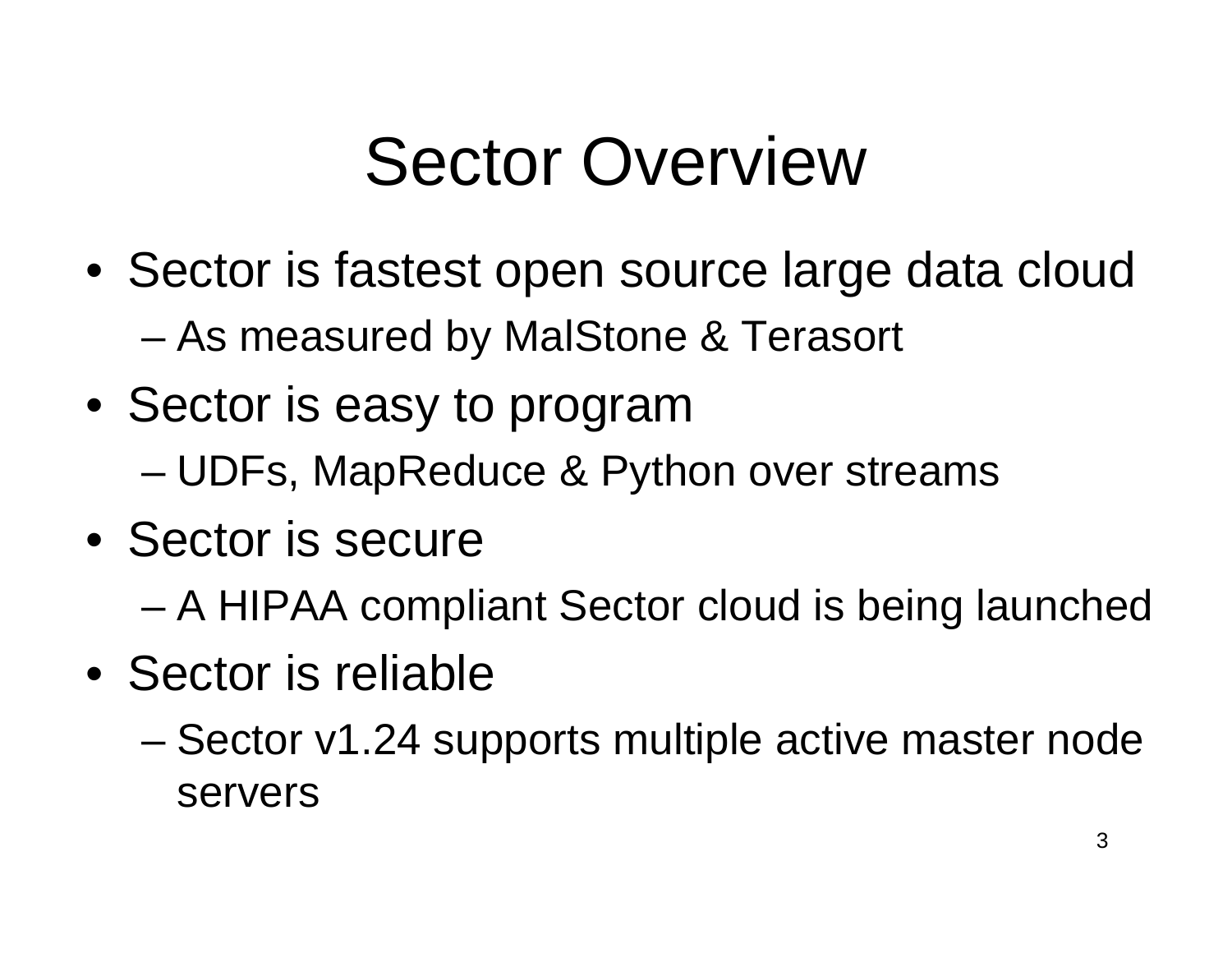### Sector Overview

- Sector is fastest open source large data cloudAs measured by MalStone & Terasort
- Sector is easy to program
	- III)FS MARRAALICA X. PV UDFs, MapReduce & Python over streams
- Sector is secure
	- –A HIPAA compliant Sector cloud is being launched
- Sector is reliable
	- – Sector v1.24 supports multiple active master node servers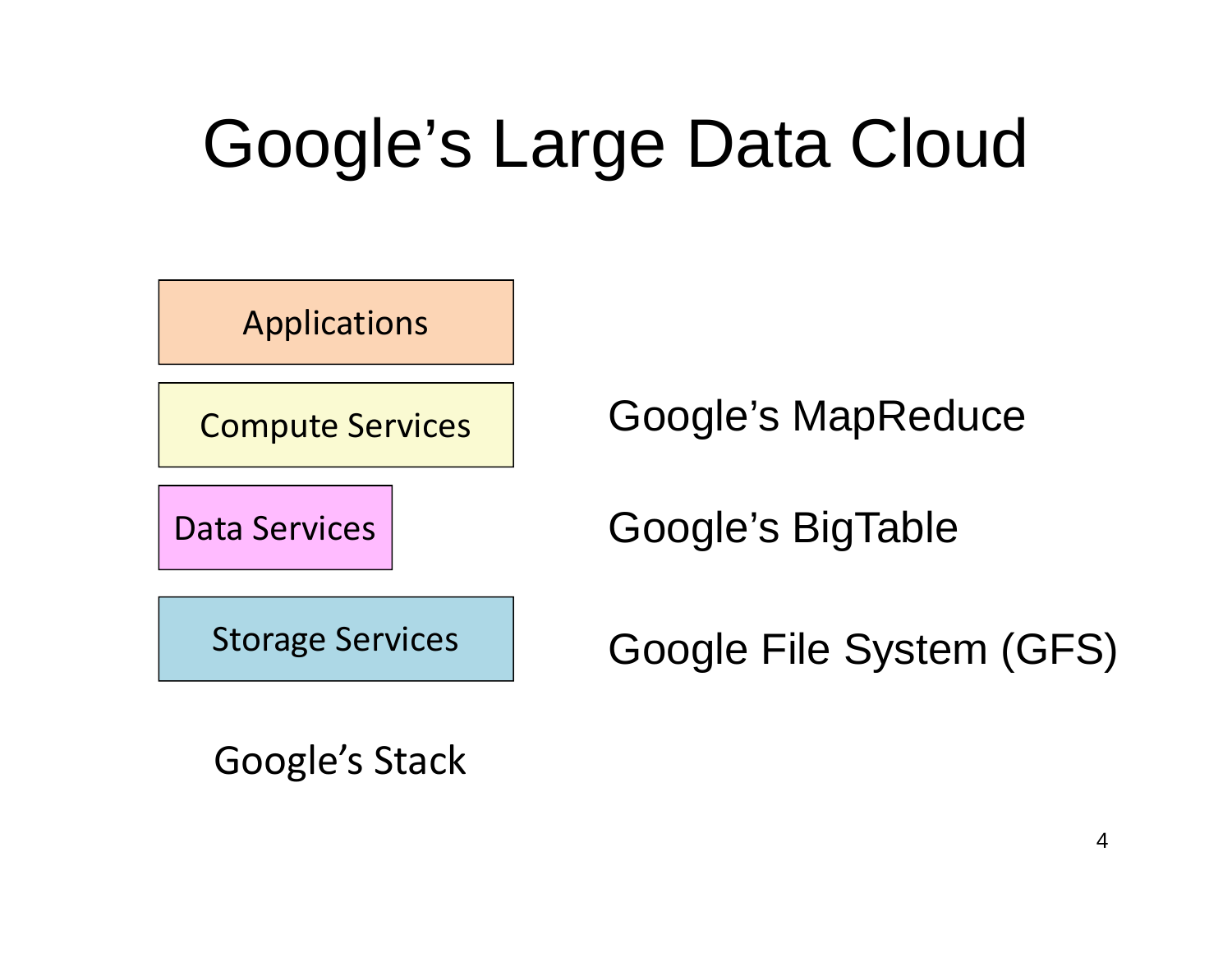# Google's Large Data Cloud

Applications

Compute Services

Data Services

Google's MapReduce

Google's BigTable

Storage Services

Google File System (GFS)

Google's Stack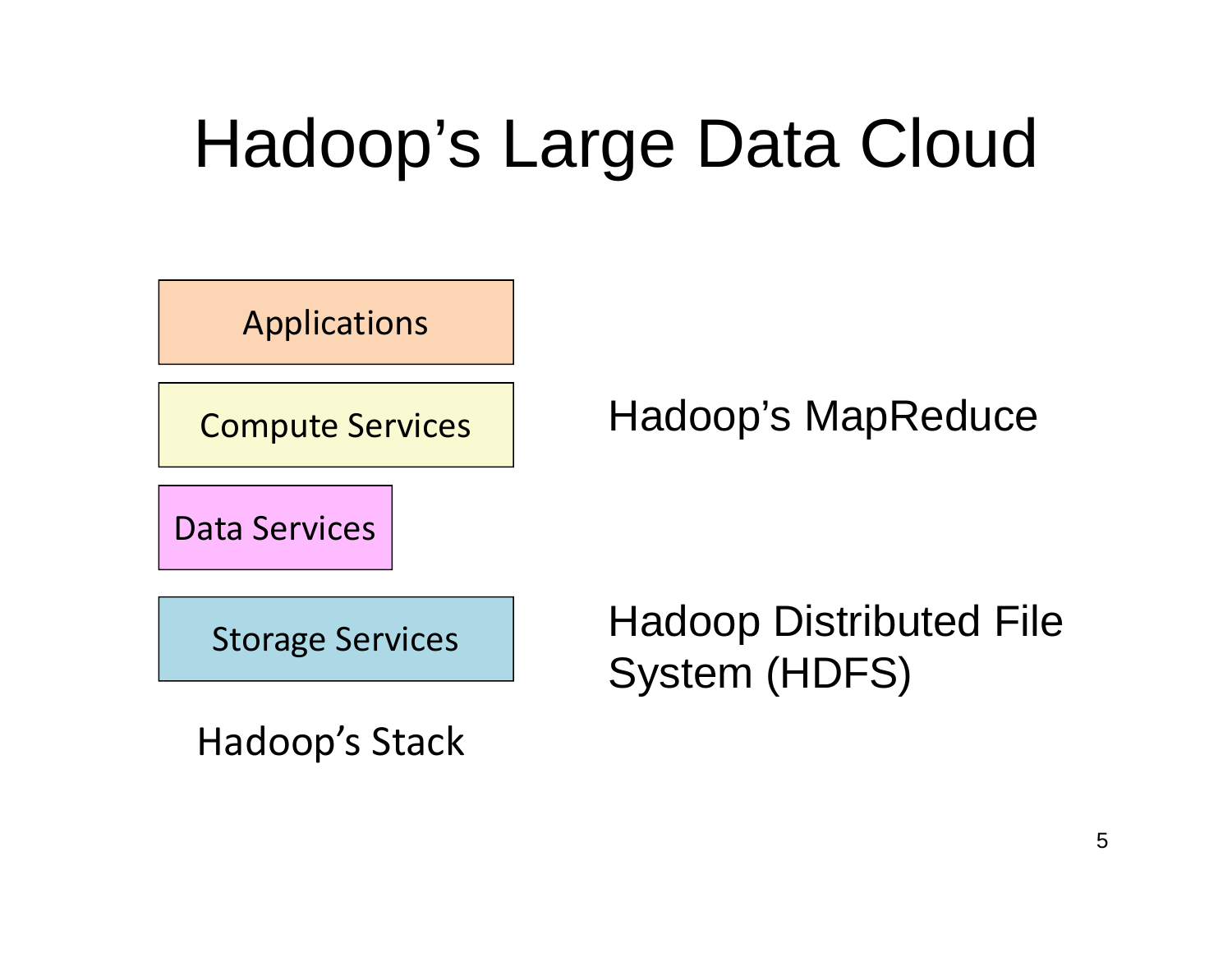# Hadoop's Large Data Cloud

Applications

Compute Services

Hadoop's MapReduce

Data Services

Storage Services

Hadoop Distributed File System (HDFS)

Hadoop's Stack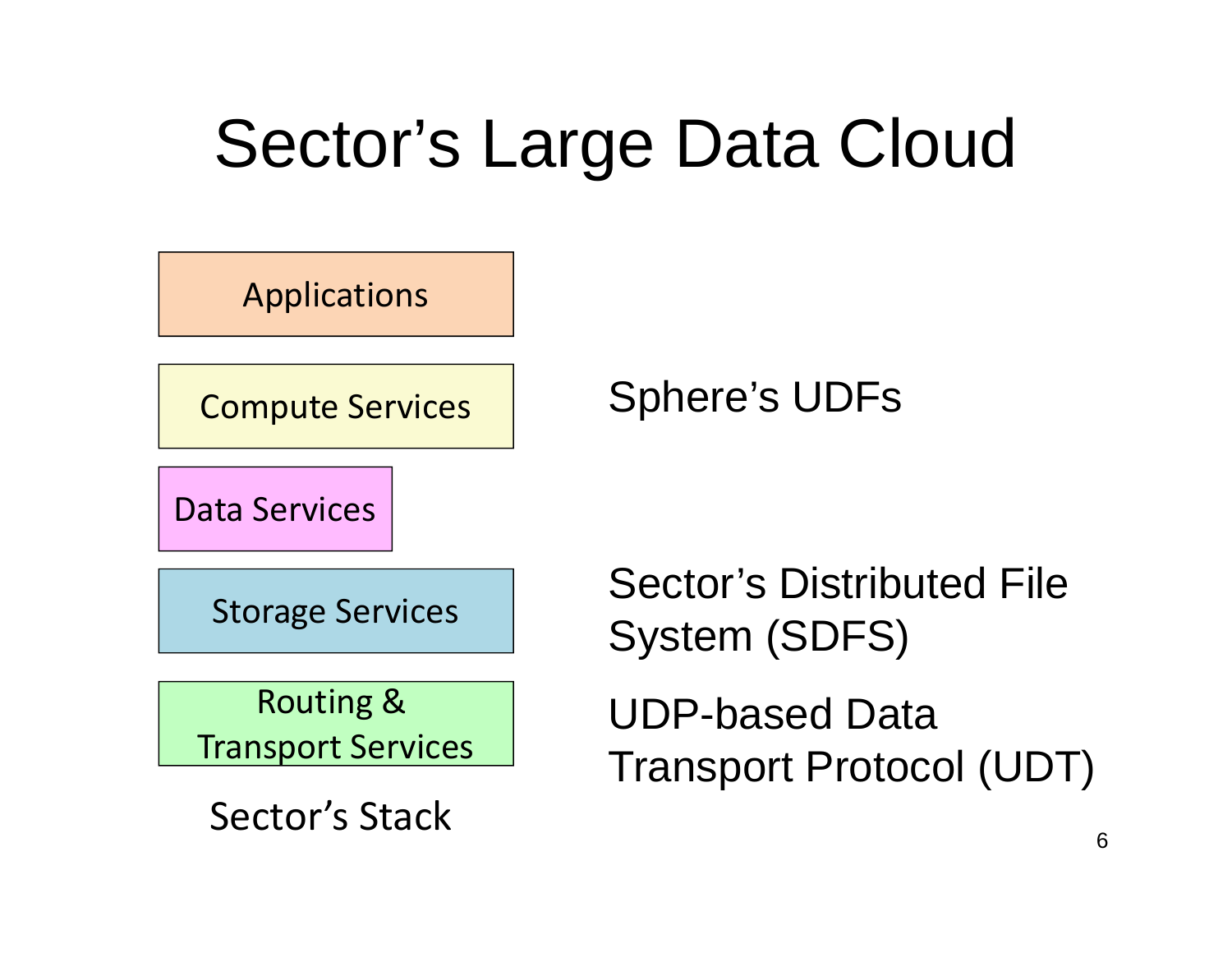# Sector's Large Data Cloud



Sector's Stack

6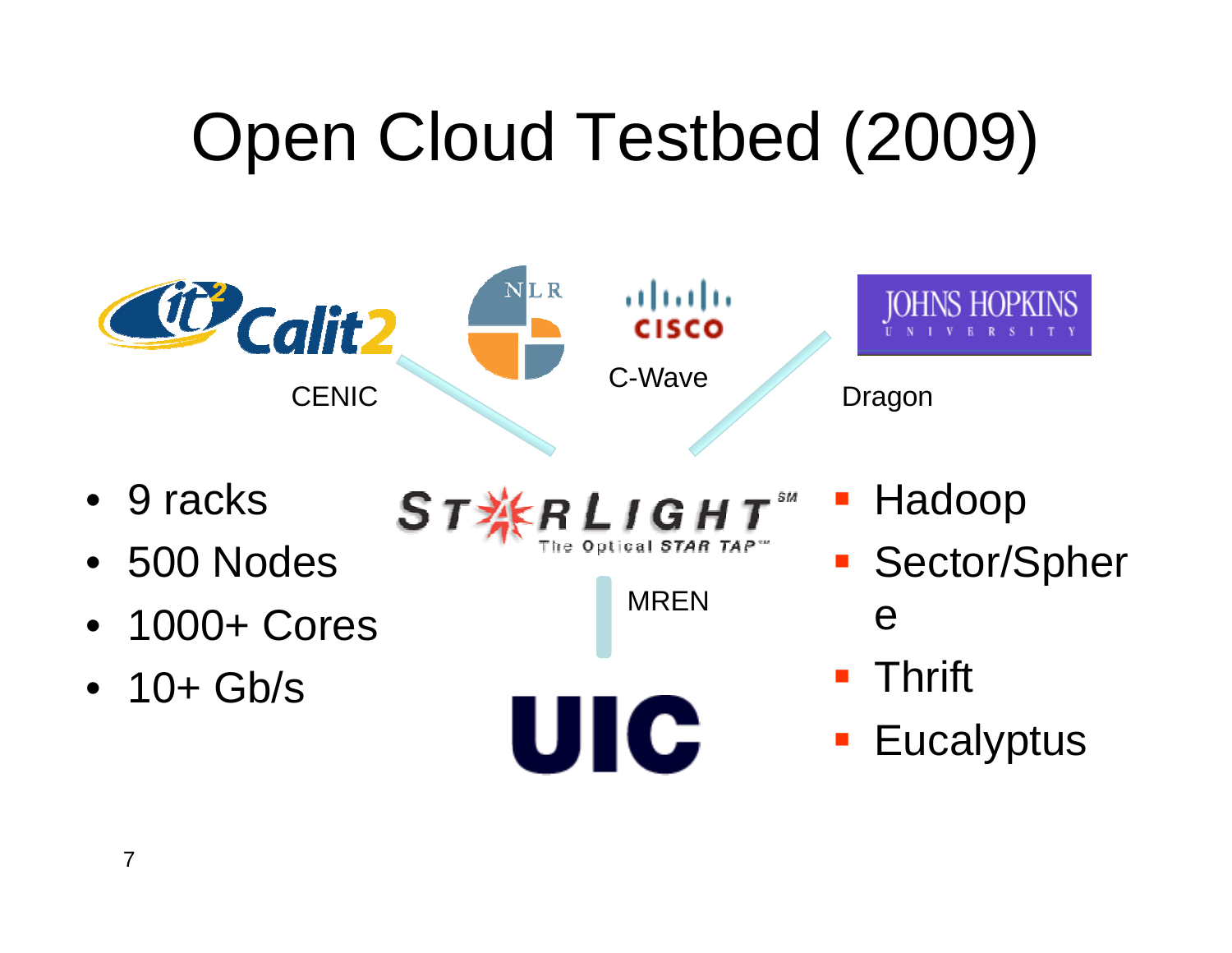# Open Cloud Testbed (2009)



- 9 racks
- 500 Nodes
- 1000+ Cores
- 10+ Gb/s

 $R_{\text{The optical STAR} T}$  $ST_{A}^{\times}$ 

MREN

UIC

- **STATE** Hadoop
- **Sector/Spher** e
- **Service Service** Thrift
- **STATE Eucalyptus**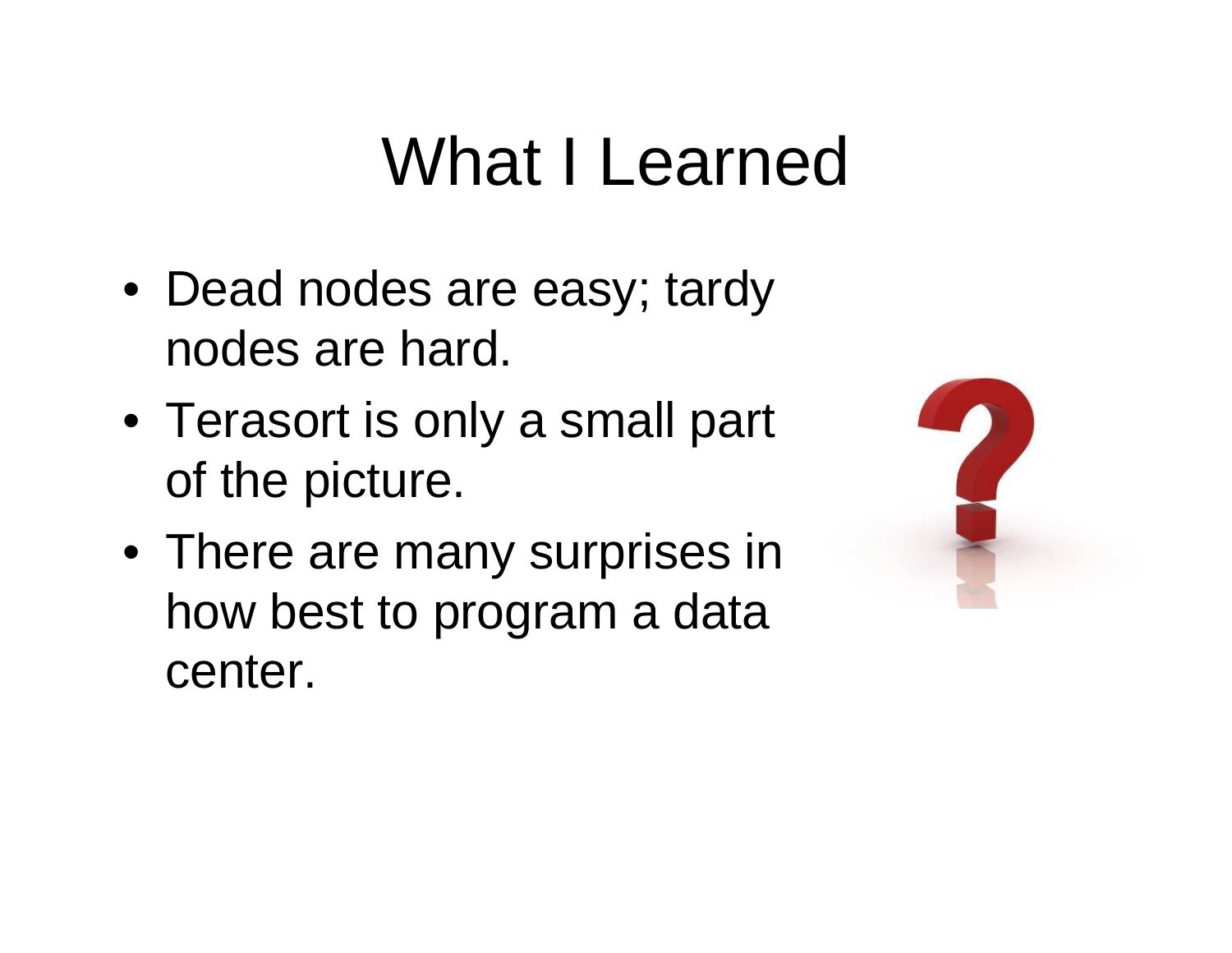### What I Learned

- Dead nodes are easy; tardy nodes are hard.
- Terasort is only a small part of the picture.
- There are many surprises in how best to program a data center.

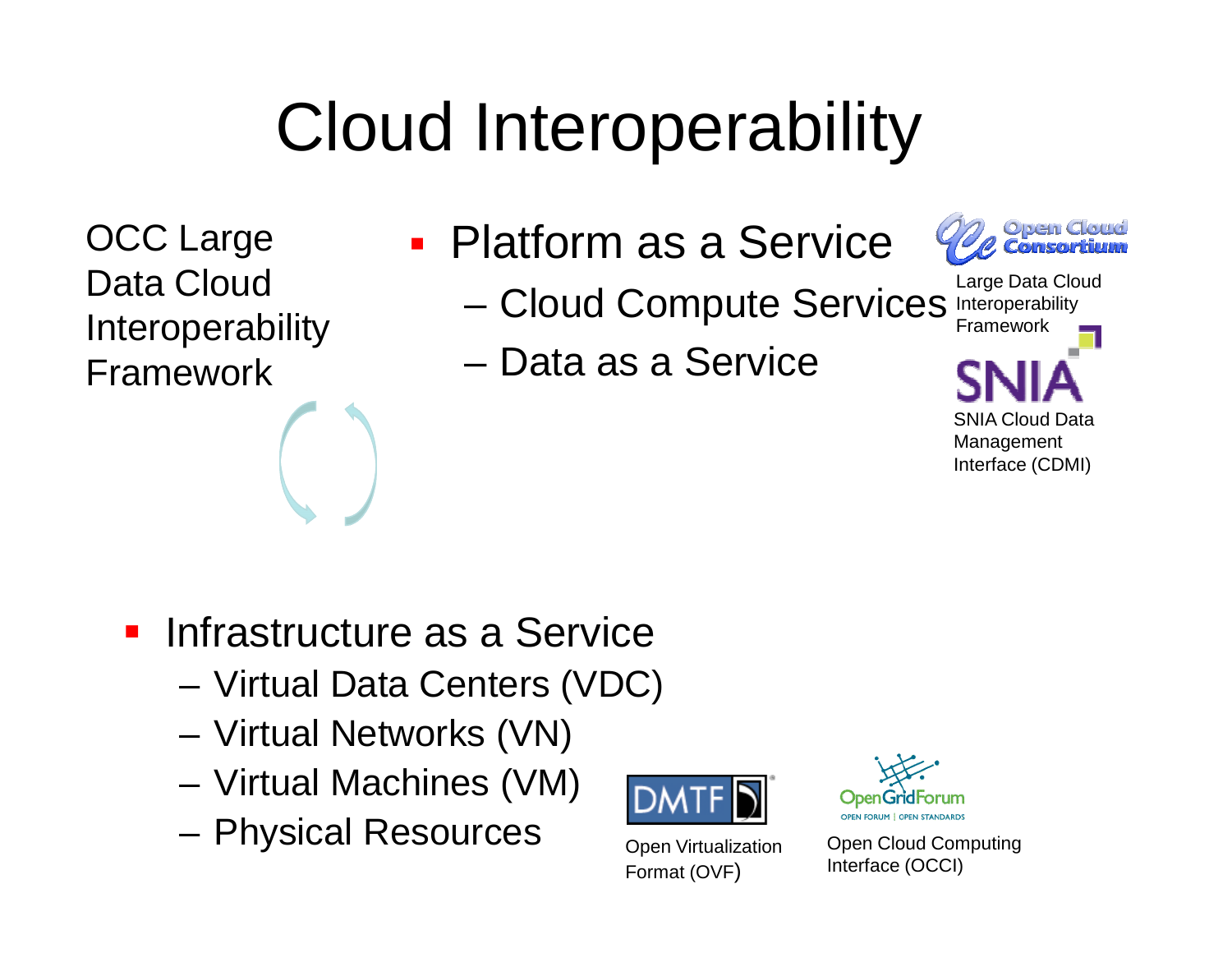# Cloud Interoperability

OCC Large Data Cloud Interoperability Framework

- Ξ ■ Platform as a Service
	- –Cloud Compute Services Interoperability
	- –Data as a Service



SNIA Cloud Data Management Interface (CDMI)Large Data Cloud Framework

- **Infrastructure as a Service** 
	- –Virtual Data Centers (VDC)
	- Virtual Networks (VN)
	- Virtual Machines (VM)
	- Physical Resources



 Open Virtualization Format (OVF)



Open Cloud Computing Interface (OCCI)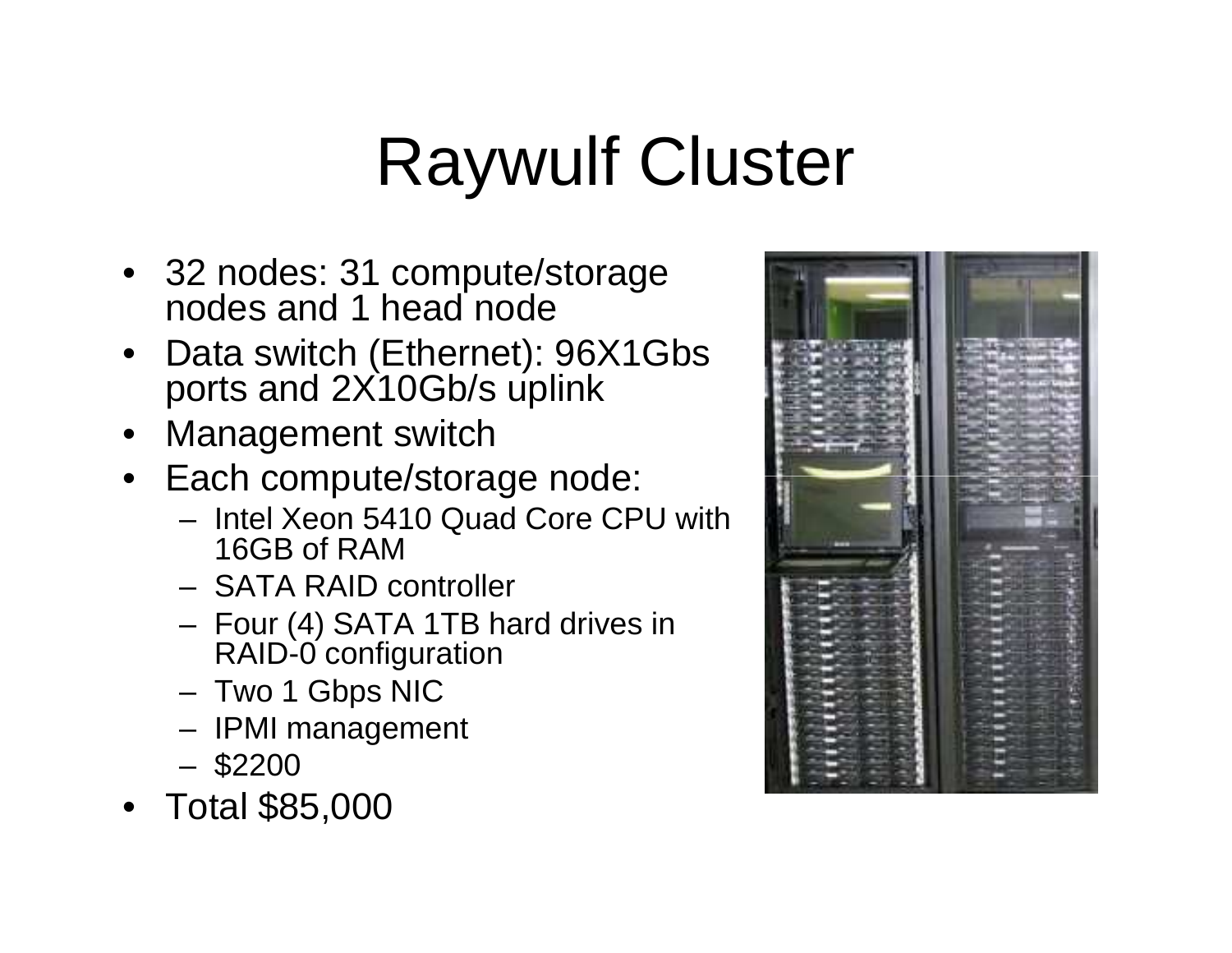# Raywulf Cluster

- 32 nodes: 31 compute/storage nodes and 1 head node
- Data switch (Ethernet): 96X1Gbs ports and 2X10Gb/s uplink
- Management switch
- Each compute/storage node:
	- Intel Xeon 5410 Quad Core CPU with 16GB of RAM
	- SATA RAID controller
	- Four (4) SATA 1TB hard drives in RAID-0 configuration
	- Two 1 Gbps NIC
	- IPMI management
	- \$2200
- Total \$85,000

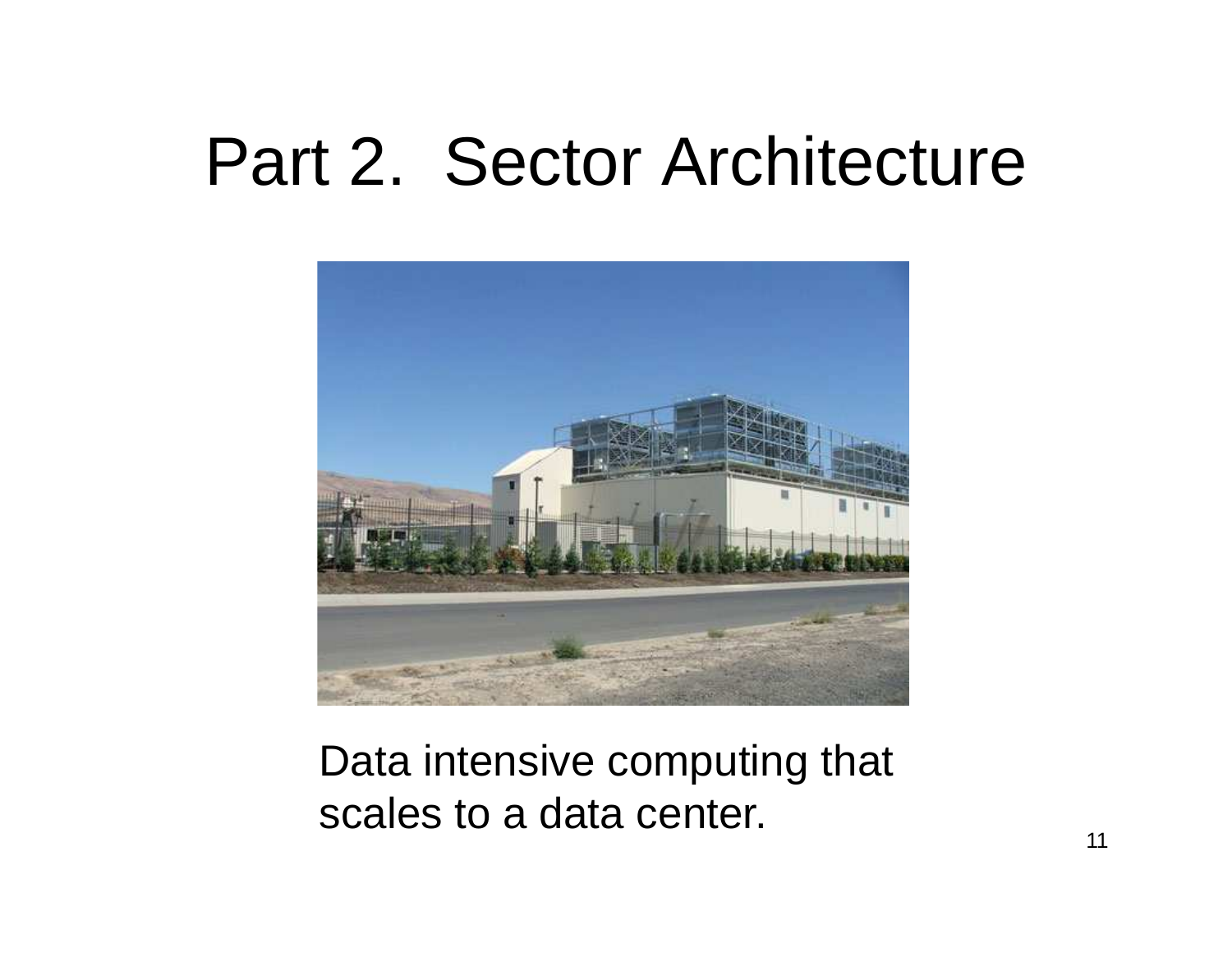#### Part 2. Sector Architecture



Data intensive computing that scales to a data center.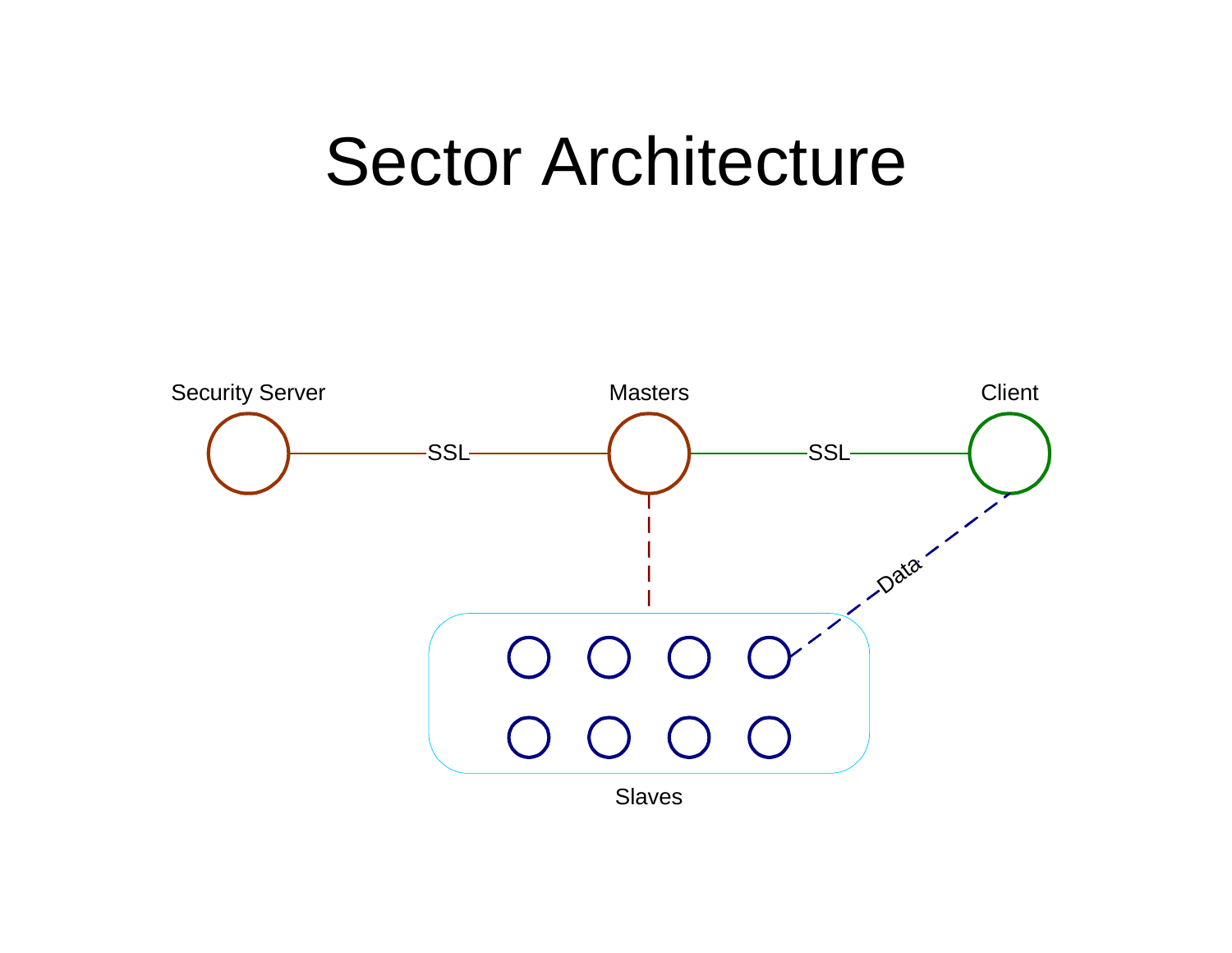#### Sector Architecture

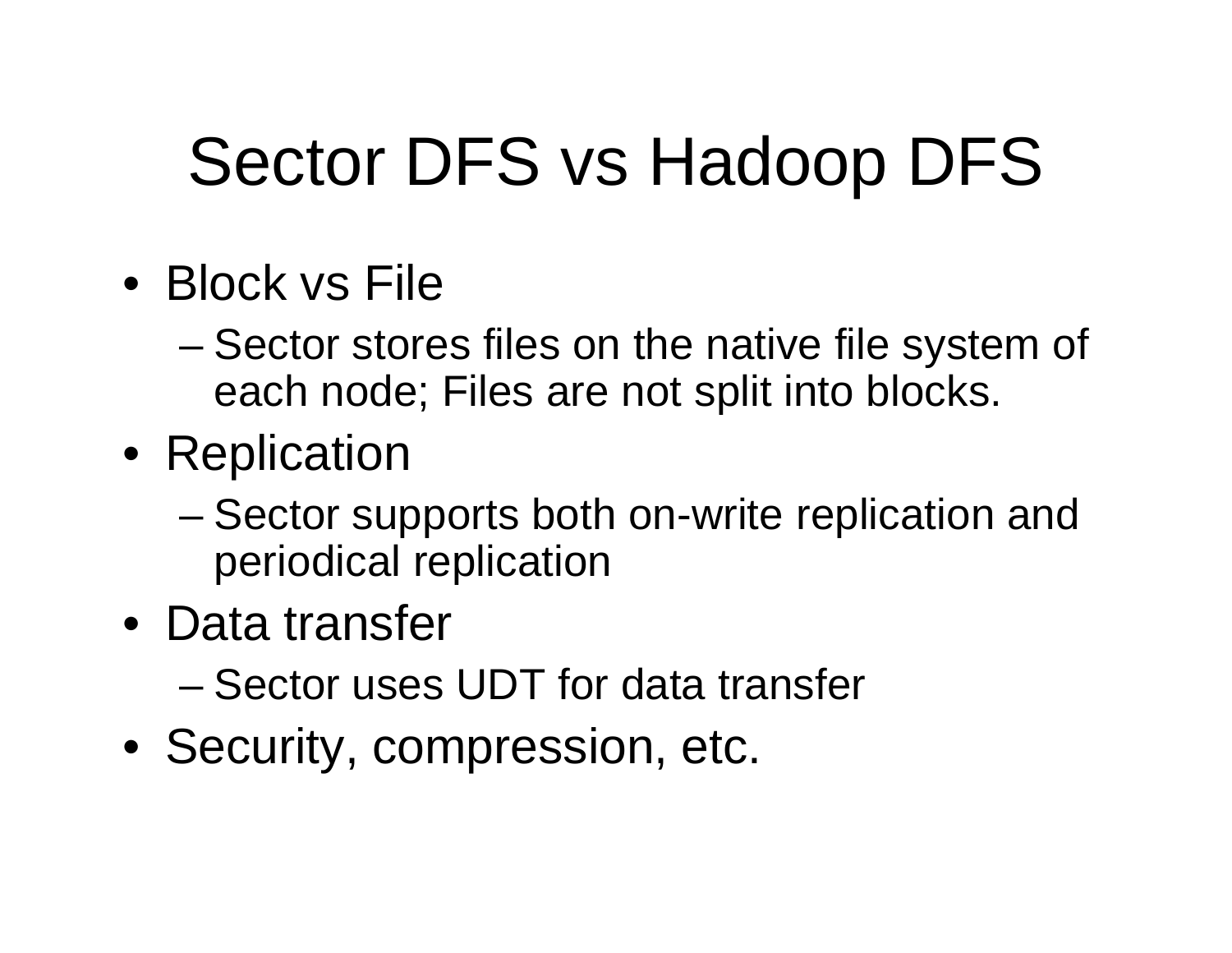# Sector DFS vs Hadoop DFS

- Block vs File
	- – Sector stores files on the native file system of each node; Files are not split into blocks.
- Replication
	- – Sector supports both on-write replication and periodical replication
- Data transfer
	- –Sector uses UDT for data transfer
- Security, compression, etc.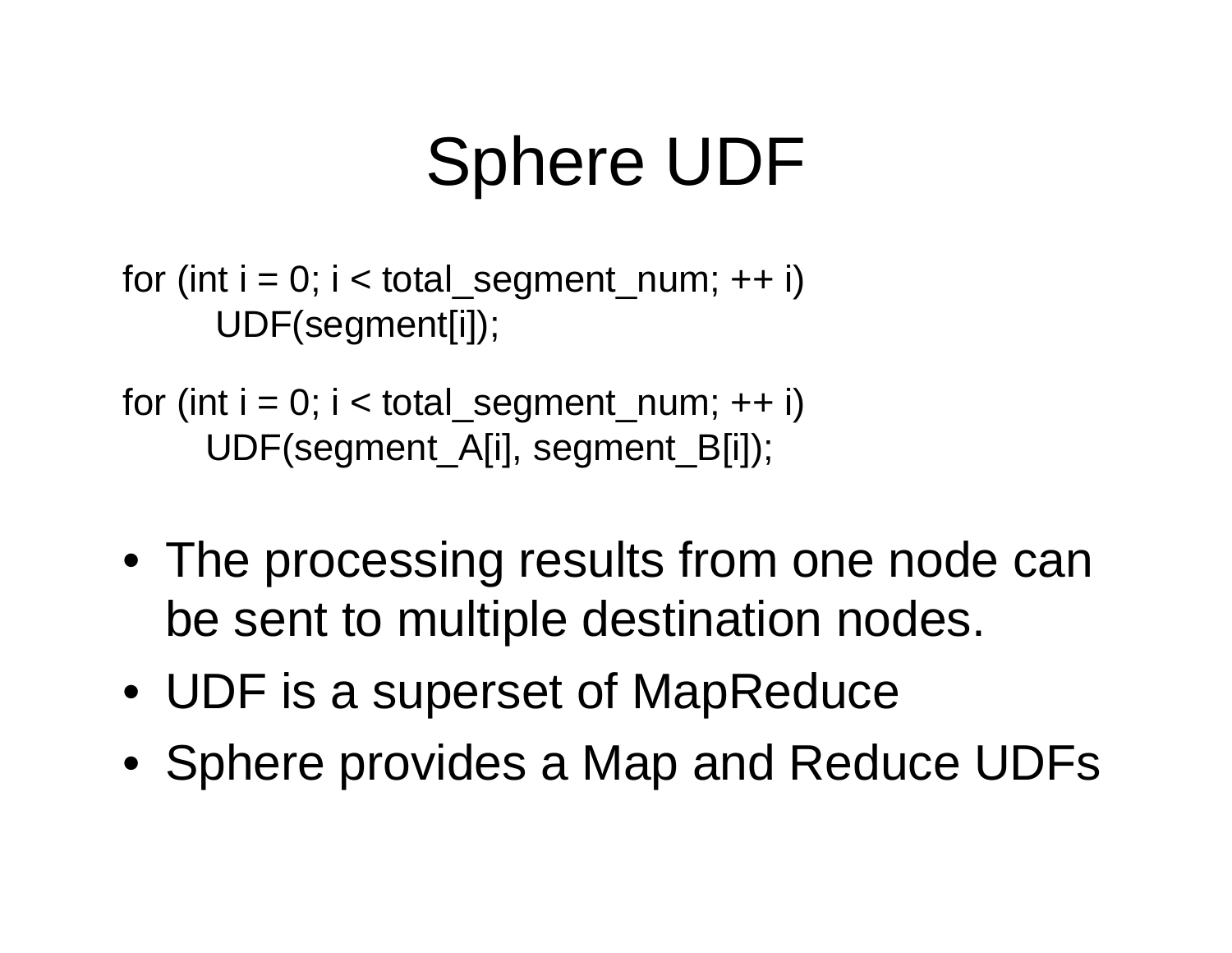# Sphere UDF

for (int  $i = 0$ ;  $i <$  total\_segment\_num; ++ i) UDF(segment[i]);

for (int  $i = 0$ ;  $i <$  total\_segment\_num; ++ i) UDF(segment\_A[i], segment\_B[i]);

- The processing results from one node can be sent to multiple destination nodes.
- UDF is a superset of MapReduce
- Sphere provides a Map and Reduce UDFs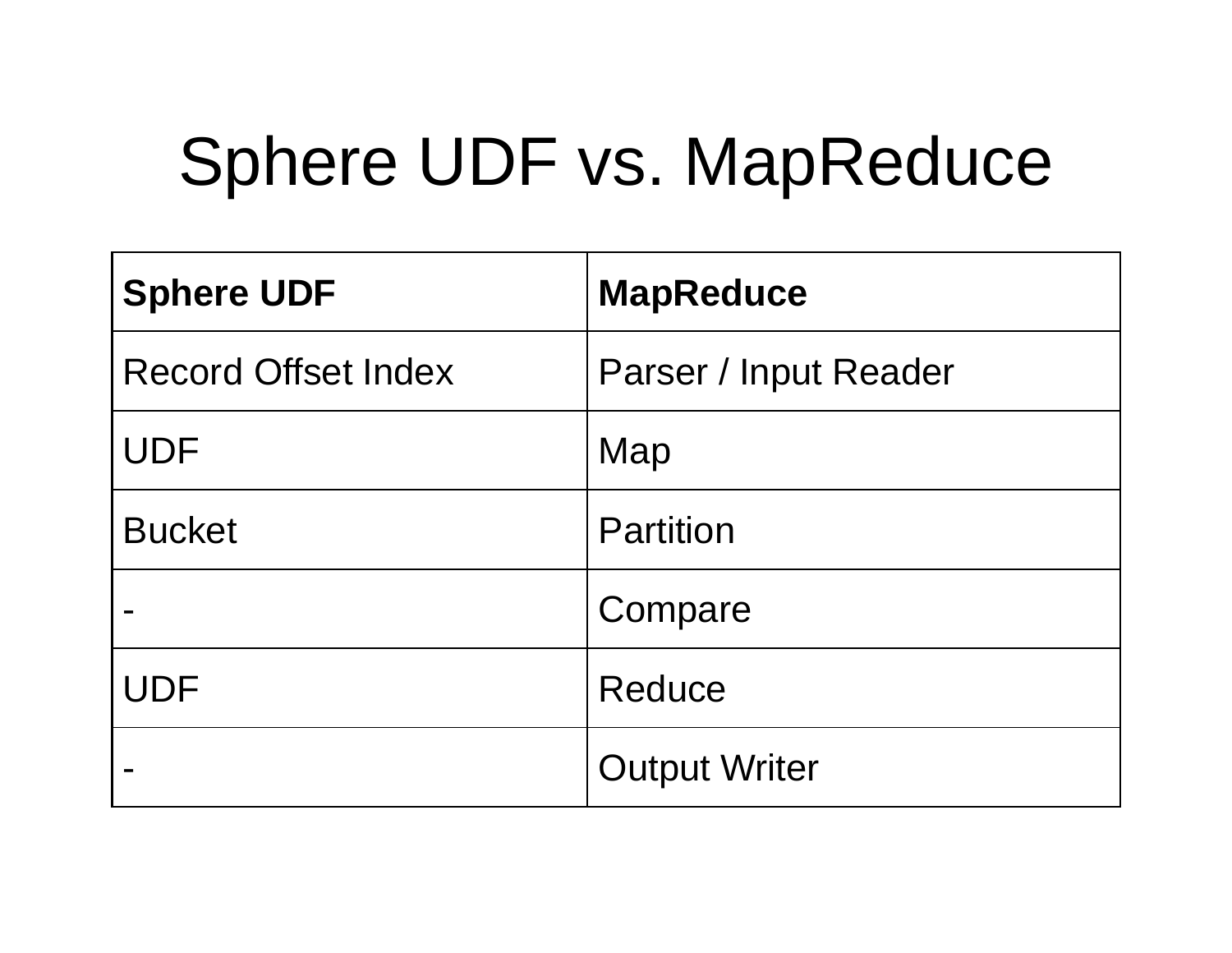# Sphere UDF vs. MapReduce

| <b>Sphere UDF</b>          | <b>MapReduce</b>      |
|----------------------------|-----------------------|
| <b>Record Offset Index</b> | Parser / Input Reader |
| <b>UDF</b>                 | Map                   |
| <b>Bucket</b>              | <b>Partition</b>      |
|                            | Compare               |
| <b>UDF</b>                 | Reduce                |
|                            | <b>Output Writer</b>  |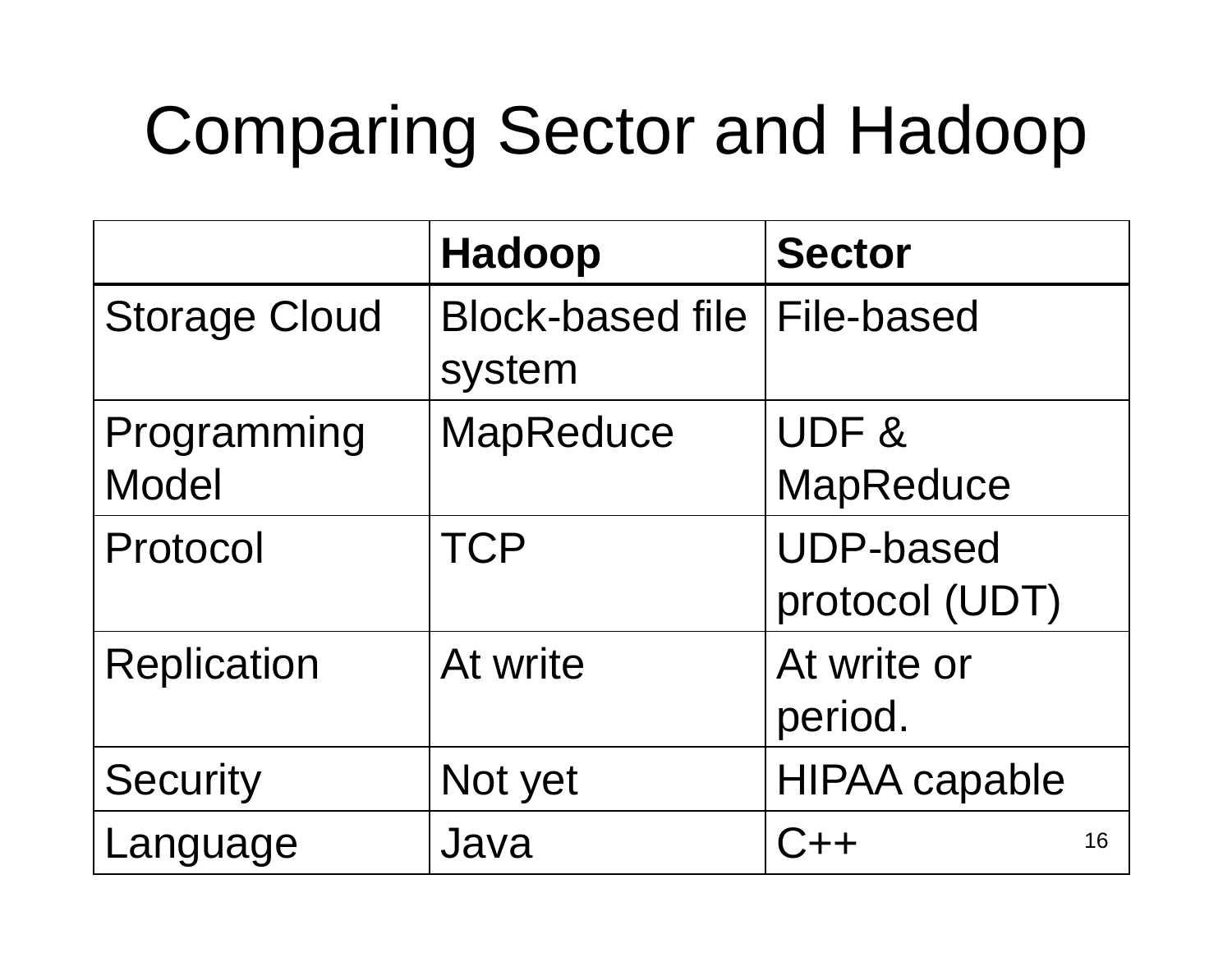# Comparing Sector and Hadoop

|                             | <b>Hadoop</b>                     | <b>Sector</b>                      |
|-----------------------------|-----------------------------------|------------------------------------|
| <b>Storage Cloud</b>        | <b>Block-based file</b><br>system | <b>File-based</b>                  |
| Programming<br><b>Model</b> | <b>MapReduce</b>                  | UDF&<br><b>MapReduce</b>           |
| Protocol                    | <b>TCP</b>                        | <b>UDP-based</b><br>protocol (UDT) |
| <b>Replication</b>          | At write                          | At write or<br>period.             |
| <b>Security</b>             | Not yet                           | <b>HIPAA capable</b>               |
| Language                    | Java                              | $C++$<br>16                        |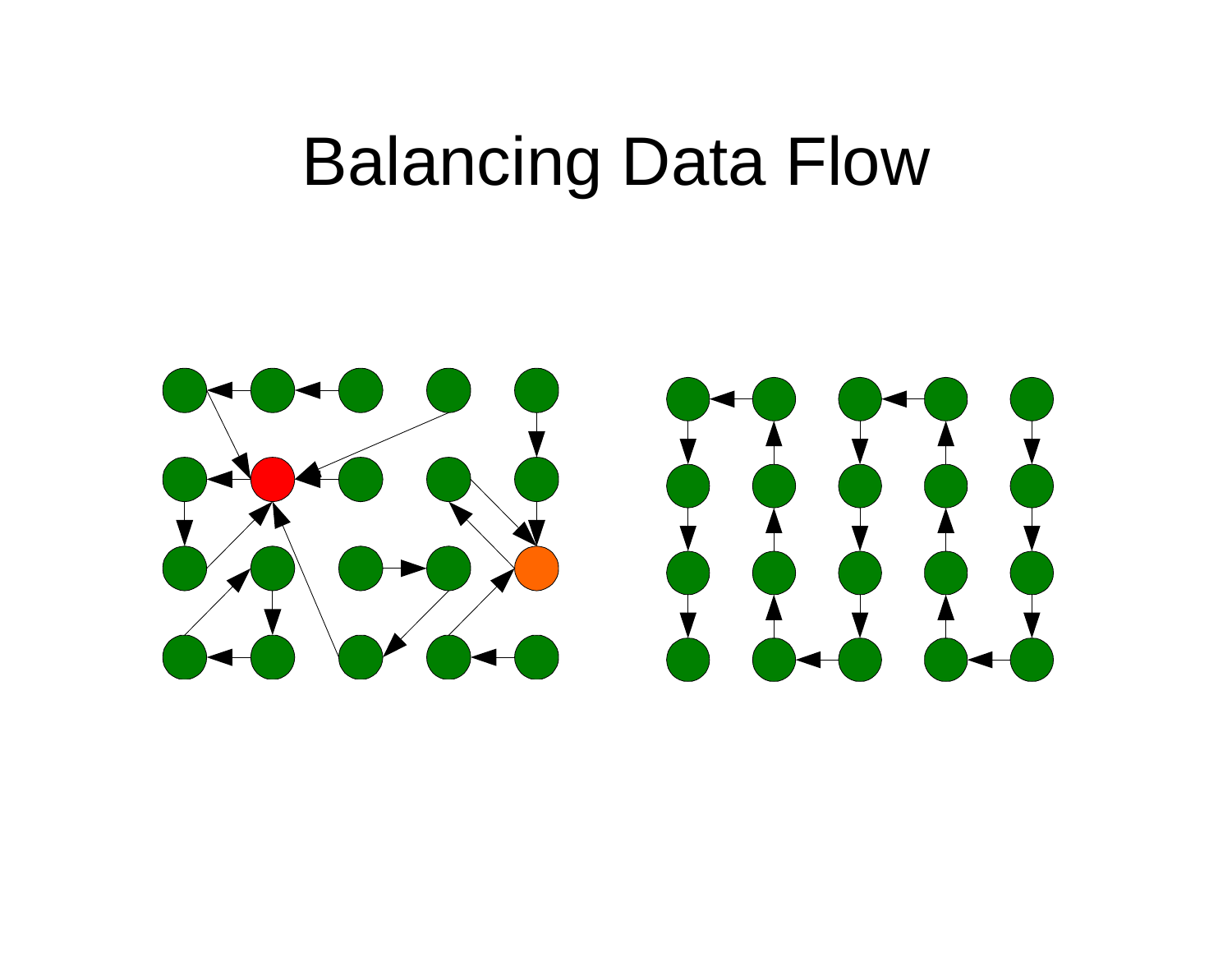#### Balancing Data Flow

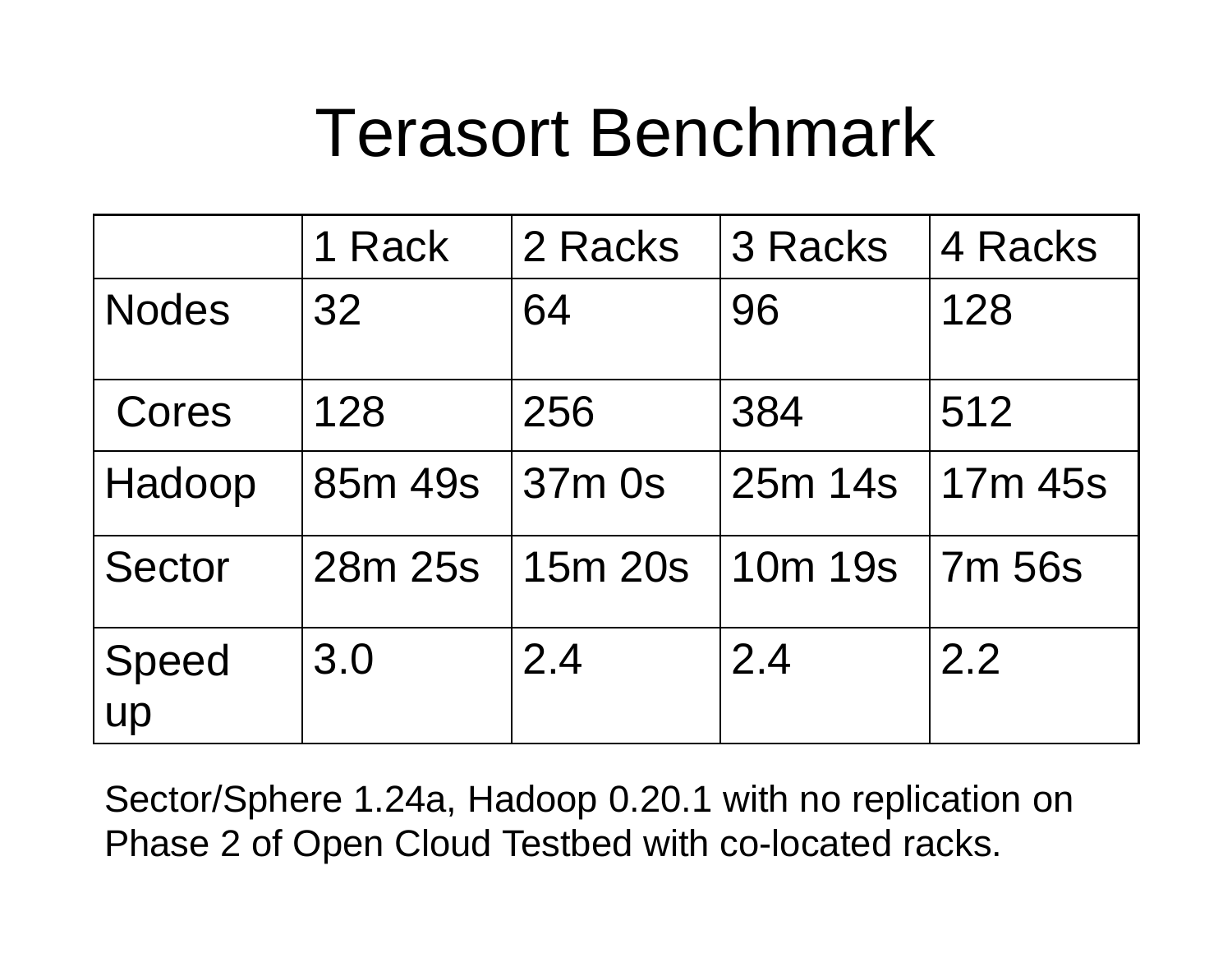### Terasort Benchmark

|               | 1 Rack  | 2 Racks | 3 Racks | 4 Racks |
|---------------|---------|---------|---------|---------|
| <b>Nodes</b>  | 32      | 64      | 96      | 128     |
| Cores         | 128     | 256     | 384     | 512     |
| Hadoop        | 85m 49s | 37m 0s  | 25m 14s | 17m 45s |
| <b>Sector</b> | 28m 25s | 15m 20s | 10m 19s | 7m 56s  |
| Speed<br>up   | 3.0     | 2.4     | 2.4     | 2.2     |

Sector/Sphere 1.24a, Hadoop 0.20.1 with no replication on Phase 2 of Open Cloud Testbed with co-located racks.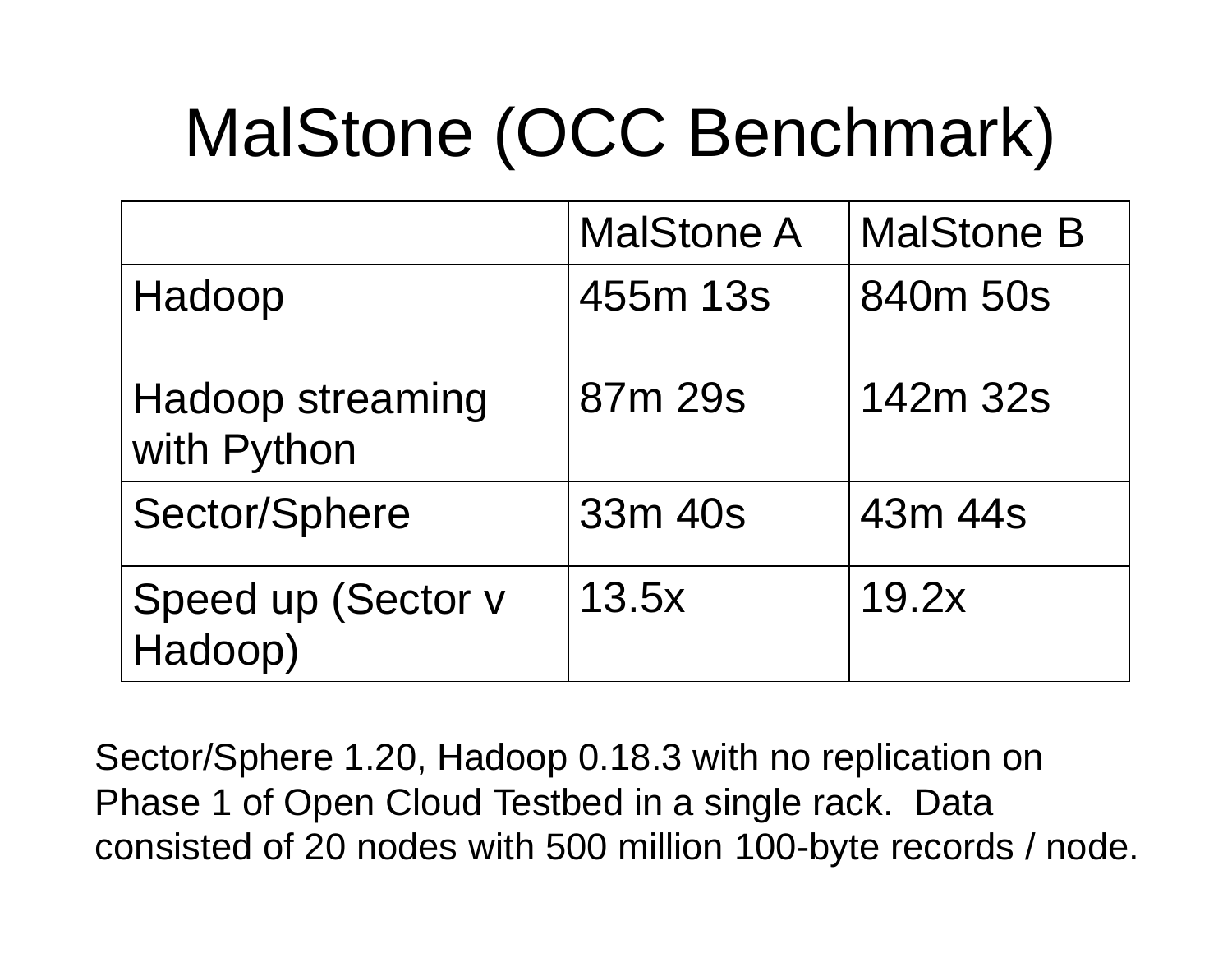# MalStone (OCC Benchmark)

|                                        | <b>MalStone A</b> | <b>MalStone B</b> |
|----------------------------------------|-------------------|-------------------|
| Hadoop                                 | 455m 13s          | 840m 50s          |
| <b>Hadoop streaming</b><br>with Python | 87m 29s           | 142m 32s          |
| Sector/Sphere                          | 33m 40s           | 43m 44s           |
| Speed up (Sector v<br>Hadoop)          | 13.5x             | 19.2x             |

Sector/Sphere 1.20, Hadoop 0.18.3 with no replication on Phase 1 of Open Cloud Testbed in a single rack. Data consisted of 20 nodes with 500 million 100-byte records / node.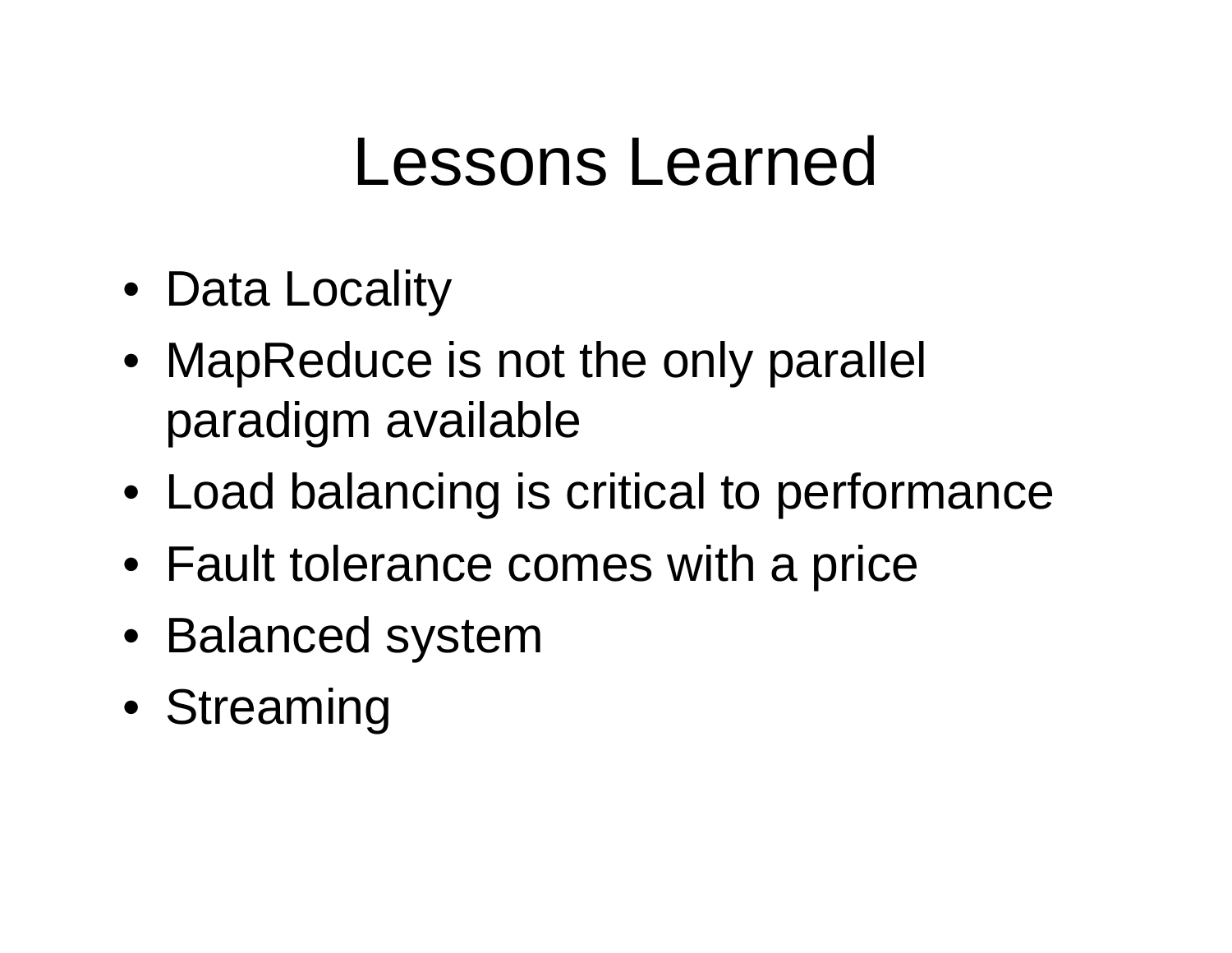### Lessons Learned

- Data Locality
- MapReduce is not the only parallel paradigm available
- Load balancing is critical to performance
- Fault tolerance comes with a price
- Balanced system
- Streaming